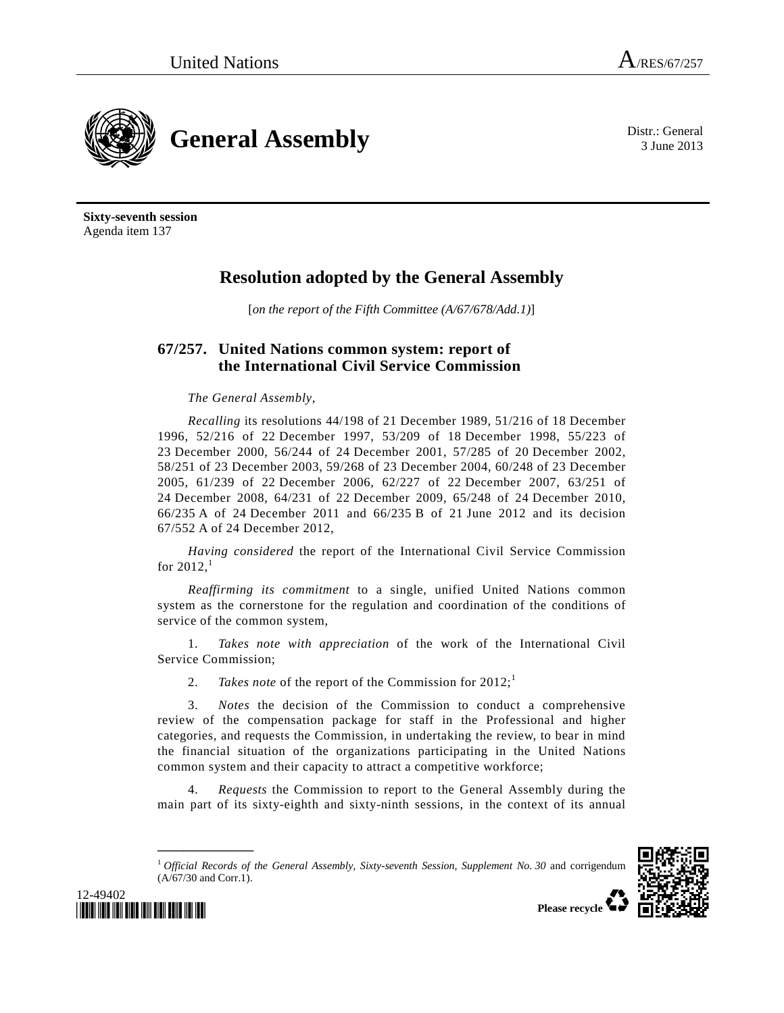3 June 2013



**Sixty-seventh session**  Agenda item 137

# **Resolution adopted by the General Assembly**

[*on the report of the Fifth Committee (A/67/678/Add.1)*]

# **67/257. United Nations common system: report of the International Civil Service Commission**

# *The General Assembly*,

*Recalling* its resolutions 44/198 of 21 December 1989, 51/216 of 18 December 1996, 52/216 of 22 December 1997, 53/209 of 18 December 1998, 55/223 of 23 December 2000, 56/244 of 24 December 2001, 57/285 of 20 December 2002, 58/251 of 23 December 2003, 59/268 of 23 December 2004, 60/248 of 23 December 2005, 61/239 of 22 December 2006, 62/227 of 22 December 2007, 63/251 of 24 December 2008, 64/231 of 22 December 2009, 65/248 of 24 December 2010, 66/235 A of 24 December 2011 and 66/235 B of 21 June 2012 and its decision 67/552 A of 24 December 2012,

*Having considered* the report of the International Civil Service Commission for  $2012$ ,<sup>1</sup>

*Reaffirming its commitment* to a single, unified United Nations common system as the cornerstone for the regulation and coordination of the conditions of service of the common system,

 1. *Takes note with appreciation* of the work of the International Civil Service Commission;

2. *Takes note* of the report of the Commission for  $2012$ ;

 3. *Notes* the decision of the Commission to conduct a comprehensive review of the compensation package for staff in the Professional and higher categories, and requests the Commission, in undertaking the review, to bear in mind the financial situation of the organizations participating in the United Nations common system and their capacity to attract a competitive workforce;

 4. *Requests* the Commission to report to the General Assembly during the main part of its sixty-eighth and sixty-ninth sessions, in the context of its annual

<sup>1</sup> *Official Records of the General Assembly, Sixty-seventh Session, Supplement No. 30* and corrigendum (A/67/30 and Corr.1).





**\_\_\_\_\_\_\_\_\_\_\_\_\_\_\_**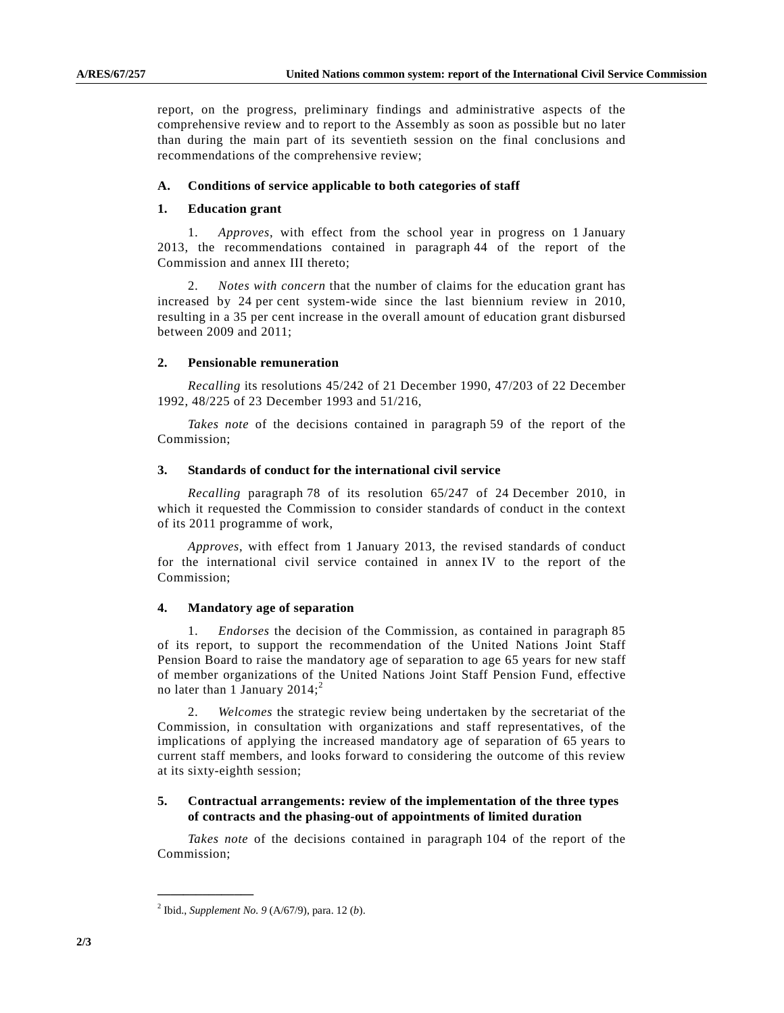report, on the progress, preliminary findings and administrative aspects of the comprehensive review and to report to the Assembly as soon as possible but no later than during the main part of its seventieth session on the final conclusions and recommendations of the comprehensive review;

#### **A. Conditions of service applicable to both categories of staff**

#### **1. Education grant**

 1. *Approves*, with effect from the school year in progress on 1 January 2013, the recommendations contained in paragraph 44 of the report of the Commission and annex III thereto;

 2. *Notes with concern* that the number of claims for the education grant has increased by 24 per cent system-wide since the last biennium review in 2010, resulting in a 35 per cent increase in the overall amount of education grant disbursed between 2009 and 2011;

#### **2. Pensionable remuneration**

*Recalling* its resolutions 45/242 of 21 December 1990, 47/203 of 22 December 1992, 48/225 of 23 December 1993 and 51/216,

*Takes note* of the decisions contained in paragraph 59 of the report of the Commission;

#### **3. Standards of conduct for the international civil service**

*Recalling* paragraph 78 of its resolution 65/247 of 24 December 2010, in which it requested the Commission to consider standards of conduct in the context of its 2011 programme of work,

*Approves*, with effect from 1 January 2013, the revised standards of conduct for the international civil service contained in annex IV to the report of the Commission;

#### **4. Mandatory age of separation**

 1. *Endorses* the decision of the Commission, as contained in paragraph 85 of its report, to support the recommendation of the United Nations Joint Staff Pension Board to raise the mandatory age of separation to age 65 years for new staff of member organizations of the United Nations Joint Staff Pension Fund, effective no later than 1 January  $2014$ ;<sup>2</sup>

 2. *Welcomes* the strategic review being undertaken by the secretariat of the Commission, in consultation with organizations and staff representatives, of the implications of applying the increased mandatory age of separation of 65 years to current staff members, and looks forward to considering the outcome of this review at its sixty-eighth session;

## **5. Contractual arrangements: review of the implementation of the three types of contracts and the phasing-out of appointments of limited duration**

*Takes note* of the decisions contained in paragraph 104 of the report of the Commission;

**\_\_\_\_\_\_\_\_\_\_\_\_\_\_\_** 

<sup>2</sup> Ibid., *Supplement No. 9* (A/67/9), para. 12 (*b*).